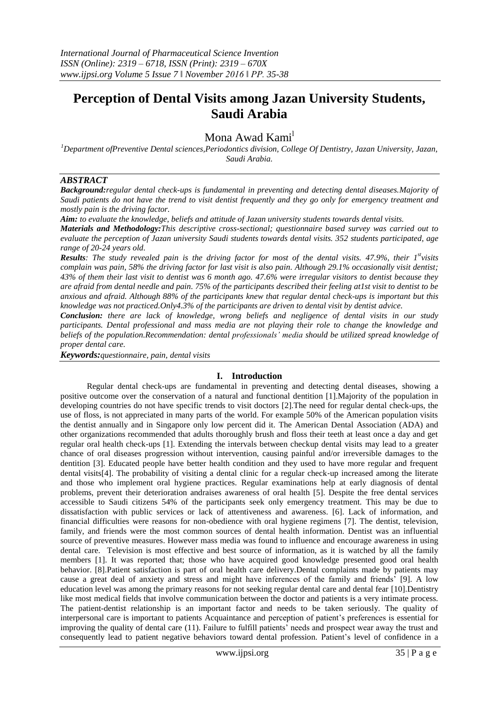# **Perception of Dental Visits among Jazan University Students, Saudi Arabia**

# Mona Awad Kami<sup>l</sup>

*<sup>1</sup>Department ofPreventive Dental sciences,Periodontics division, College Of Dentistry, Jazan University, Jazan, Saudi Arabia.*

# *ABSTRACT*

*Background:regular dental check-ups is fundamental in preventing and detecting dental diseases.Majority of Saudi patients do not have the trend to visit dentist frequently and they go only for emergency treatment and mostly pain is the driving factor.*

*Aim: to evaluate the knowledge, beliefs and attitude of Jazan university students towards dental visits.*

*Materials and Methodology:This descriptive cross-sectional; questionnaire based survey was carried out to evaluate the perception of Jazan university Saudi students towards dental visits. 352 students participated, age range of 20-24 years old.* 

**Results**: The study revealed pain is the driving factor for most of the dental visits. 47.9%, their 1<sup>st</sup>visits *complain was pain, 58% the driving factor for last visit is also pain. Although 29.1% occasionally visit dentist; 43% of them their last visit to dentist was 6 month ago. 47.6% were irregular visitors to dentist because they are afraid from dental needle and pain. 75% of the participants described their feeling at1st visit to dentist to be anxious and afraid. Although 88% of the participants knew that regular dental check-ups is important but this knowledge was not practiced.Only4.3% of the participants are driven to dental visit by dentist advice.*

*Conclusion: there are lack of knowledge, wrong beliefs and negligence of dental visits in our study participants. Dental professional and mass media are not playing their role to change the knowledge and beliefs of the population.Recommendation: dental professionals' media should be utilized spread knowledge of proper dental care.*

*Keywords:questionnaire, pain, dental visits*

#### **I. Introduction**

Regular dental check-ups are fundamental in preventing and detecting dental diseases, showing a positive outcome over the conservation of a natural and functional dentition [1].Majority of the population in developing countries do not have specific trends to visit doctors [2].The need for regular dental check-ups, the use of floss, is not appreciated in many parts of the world. For example 50% of the American population visits the dentist annually and in Singapore only low percent did it. The American Dental Association (ADA) and other organizations recommended that adults thoroughly brush and floss their teeth at least once a day and get regular oral health check-ups [1]. Extending the intervals between checkup dental visits may lead to a greater chance of oral diseases progression without intervention, causing painful and/or irreversible damages to the dentition [3]. Educated people have better health condition and they used to have more regular and frequent dental visits[4]. The probability of visiting a dental clinic for a regular check-up increased among the literate and those who implement oral hygiene practices. Regular examinations help at early diagnosis of dental problems, prevent their deterioration andraises awareness of oral health [5]. Despite the free dental services accessible to Saudi citizens 54% of the participants seek only emergency treatment. This may be due to dissatisfaction with public services or lack of attentiveness and awareness. [6]. Lack of information, and financial difficulties were reasons for non-obedience with oral hygiene regimens [7]. The dentist, television, family, and friends were the most common sources of dental health information. Dentist was an influential source of preventive measures. However mass media was found to influence and encourage awareness in using dental care. Television is most effective and best source of information, as it is watched by all the family members [1]. It was reported that; those who have acquired good knowledge presented good oral health behavior. [8].Patient satisfaction is part of oral health care delivery.Dental complaints made by patients may cause a great deal of anxiety and stress and might have inferences of the family and friends' [9]. A low education level was among the primary reasons for not seeking regular dental care and dental fear [10].Dentistry like most medical fields that involve communication between the doctor and patients is a very intimate process. The patient-dentist relationship is an important factor and needs to be taken seriously. The quality of interpersonal care is important to patients Acquaintance and perception of patient's preferences is essential for improving the quality of dental care (11). Failure to fulfill patients' needs and prospect wear away the trust and consequently lead to patient negative behaviors toward dental profession. Patient's level of confidence in a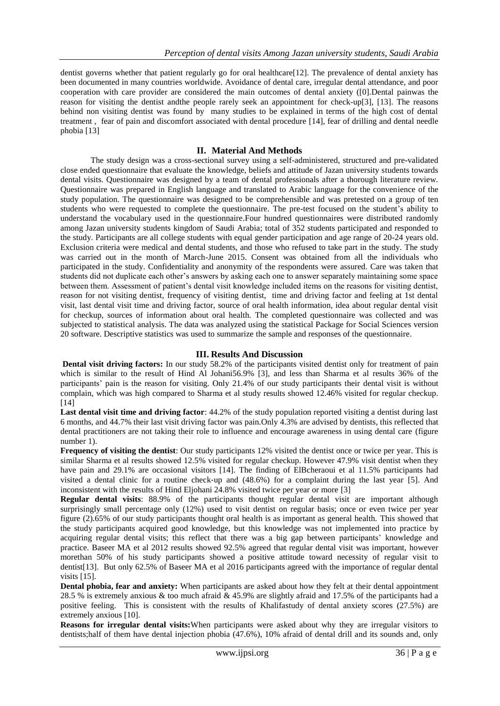dentist governs whether that patient regularly go for oral healthcare[12]. The prevalence of dental anxiety has been documented in many countries worldwide. Avoidance of dental care, irregular dental attendance, and poor cooperation with care provider are considered the main outcomes of dental anxiety ([0].Dental painwas the reason for visiting the dentist andthe people rarely seek an appointment for check-up[3], [13]. The reasons behind non visiting dentist was found by many studies to be explained in terms of the high cost of dental treatment , fear of pain and discomfort associated with dental procedure [14], fear of drilling and dental needle phobia [13]

## **II. Material And Methods**

The study design was a cross-sectional survey using a self-administered, structured and pre-validated close ended questionnaire that evaluate the knowledge, beliefs and attitude of Jazan university students towards dental visits. Questionnaire was designed by a team of dental professionals after a thorough literature review. Questionnaire was prepared in English language and translated to Arabic language for the convenience of the study population. The questionnaire was designed to be comprehensible and was pretested on a group of ten students who were requested to complete the questionnaire. The pre-test focused on the student's ability to understand the vocabulary used in the questionnaire.Four hundred questionnaires were distributed randomly among Jazan university students kingdom of Saudi Arabia; total of 352 students participated and responded to the study. Participants are all college students with equal gender participation and age range of 20-24 years old. Exclusion criteria were medical and dental students, and those who refused to take part in the study. The study was carried out in the month of March-June 2015. Consent was obtained from all the individuals who participated in the study. Confidentiality and anonymity of the respondents were assured. Care was taken that students did not duplicate each other's answers by asking each one to answer separately maintaining some space between them. Assessment of patient's dental visit knowledge included items on the reasons for visiting dentist, reason for not visiting dentist, frequency of visiting dentist, time and driving factor and feeling at 1st dental visit, last dental visit time and driving factor, source of oral health information, idea about regular dental visit for checkup, sources of information about oral health. The completed questionnaire was collected and was subjected to statistical analysis. The data was analyzed using the statistical Package for Social Sciences version 20 software. Descriptive statistics was used to summarize the sample and responses of the questionnaire.

## **III. Results And Discussion**

**Dental visit driving factors:** In our study 58.2% of the participants visited dentist only for treatment of pain which is similar to the result of Hind Al Johani56.9% [3], and less than Sharma et al results 36% of the participants' pain is the reason for visiting. Only 21.4% of our study participants their dental visit is without complain, which was high compared to Sharma et al study results showed 12.46% visited for regular checkup. [14]

**Last dental visit time and driving factor**: 44.2% of the study population reported visiting a dentist during last 6 months, and 44.7% their last visit driving factor was pain.Only 4.3% are advised by dentists, this reflected that dental practitioners are not taking their role to influence and encourage awareness in using dental care (figure number 1).

**Frequency of visiting the dentist**: Our study participants 12% visited the dentist once or twice per year. This is similar Sharma et al results showed 12.5% visited for regular checkup. However 47.9% visit dentist when they have pain and 29.1% are occasional visitors [14]. The finding of ElBcheraoui et al 11.5% participants had visited a dental clinic for a routine check‐up and (48.6%) for a complaint during the last year [5]. And inconsistent with the results of Hind Eljohani 24.8% visited twice per year or more [3]

**Regular dental visits**: 88.9% of the participants thought regular dental visit are important although surprisingly small percentage only (12%) used to visit dentist on regular basis; once or even twice per year figure (2).65% of our study participants thought oral health is as important as general health. This showed that the study participants acquired good knowledge, but this knowledge was not implemented into practice by acquiring regular dental visits; this reflect that there was a big gap between participants' knowledge and practice. Baseer MA et al 2012 results showed 92.5% agreed that regular dental visit was important, however morethan 50% of his study participants showed a positive attitude toward necessity of regular visit to dentist[13]. But only 62.5% of Baseer MA et al 2016 participants agreed with the importance of regular dental visits [15].

**Dental phobia, fear and anxiety:** When participants are asked about how they felt at their dental appointment 28.5 % is extremely anxious & too much afraid & 45.9% are slightly afraid and 17.5% of the participants had a positive feeling. This is consistent with the results of Khalifastudy of dental anxiety scores (27.5%) are extremely anxious [10].

**Reasons for irregular dental visits:**When participants were asked about why they are irregular visitors to dentists;half of them have dental injection phobia (47.6%), 10% afraid of dental drill and its sounds and, only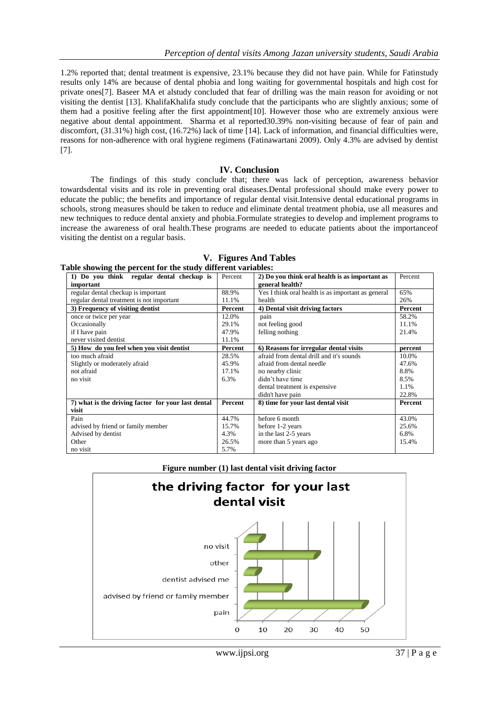1.2% reported that; dental treatment is expensive, 23.1% because they did not have pain. While for Fatinstudy results only 14% are because of dental phobia and long waiting for governmental hospitals and high cost for private ones[7]. Baseer MA et alstudy concluded that fear of drilling was the main reason for avoiding or not visiting the dentist [13]. KhalifaKhalifa study conclude that the participants who are slightly anxious; some of them had a positive feeling after the first appointment[10]. However those who are extremely anxious were negative about dental appointment. Sharma et al reported30.39% non-visiting because of fear of pain and discomfort, (31.31%) high cost, (16.72%) lack of time [14]. Lack of information, and financial difficulties were, reasons for non-adherence with oral hygiene regimens (Fatinawartani 2009). Only 4.3% are advised by dentist [7].

#### **IV. Conclusion**

The findings of this study conclude that; there was lack of perception, awareness behavior towardsdental visits and its role in preventing oral diseases.Dental professional should make every power to educate the public; the benefits and importance of regular dental visit.Intensive dental educational programs in schools, strong measures should be taken to reduce and eliminate dental treatment phobia, use all measures and new techniques to reduce dental anxiety and phobia.Formulate strategies to develop and implement programs to increase the awareness of oral health.These programs are needed to educate patients about the importanceof visiting the dentist on a regular basis.

| 1) Do you think regular dental checkup is          | Percent | 2) Do you think oral health is as important as<br>Percent |         |
|----------------------------------------------------|---------|-----------------------------------------------------------|---------|
| important                                          |         | general health?                                           |         |
| regular dental checkup is important                | 88.9%   | Yes I think oral health is as important as general        | 65%     |
| regular dental treatment is not important          | 11.1%   | health                                                    | 26%     |
| 3) Frequency of visiting dentist                   | Percent | 4) Dental visit driving factors                           | Percent |
| once or twice per year                             | 12.0%   | pain                                                      | 58.2%   |
| Occasionally                                       | 29.1%   | not feeling good                                          | 11.1%   |
| if I have pain                                     | 47.9%   | felling nothing                                           | 21.4%   |
| never visited dentist                              | 11.1%   |                                                           |         |
| 5) How do you feel when you visit dentist          | Percent | 6) Reasons for irregular dental visits                    | percent |
| too much afraid                                    | 28.5%   | afraid from dental drill and it's sounds                  | 10.0%   |
| Slightly or moderately afraid                      | 45.9%   | afraid from dental needle                                 | 47.6%   |
| not afraid                                         | 17.1%   | no nearby clinic                                          | 8.8%    |
| no visit                                           | 6.3%    | didn't have time                                          | 8.5%    |
|                                                    |         | dental treatment is expensive.                            | 1.1%    |
|                                                    |         | didn't have pain                                          | 22.8%   |
| 7) what is the driving factor for your last dental | Percent | 8) time for your last dental visit                        | Percent |
| visit                                              |         |                                                           |         |
| Pain                                               | 44.7%   | before 6 month                                            | 43.0%   |
| advised by friend or family member                 | 15.7%   | before 1-2 years                                          | 25.6%   |
| Advised by dentist                                 | 4.3%    | in the last 2-5 years                                     | 6.8%    |
| Other                                              | 26.5%   | more than 5 years ago                                     | 15.4%   |
| no visit                                           | 5.7%    |                                                           |         |

|                                                              |  | V. Figures And Tables |
|--------------------------------------------------------------|--|-----------------------|
| Table showing the percent for the study different variables: |  |                       |

**Figure number (1) last dental visit driving factor**